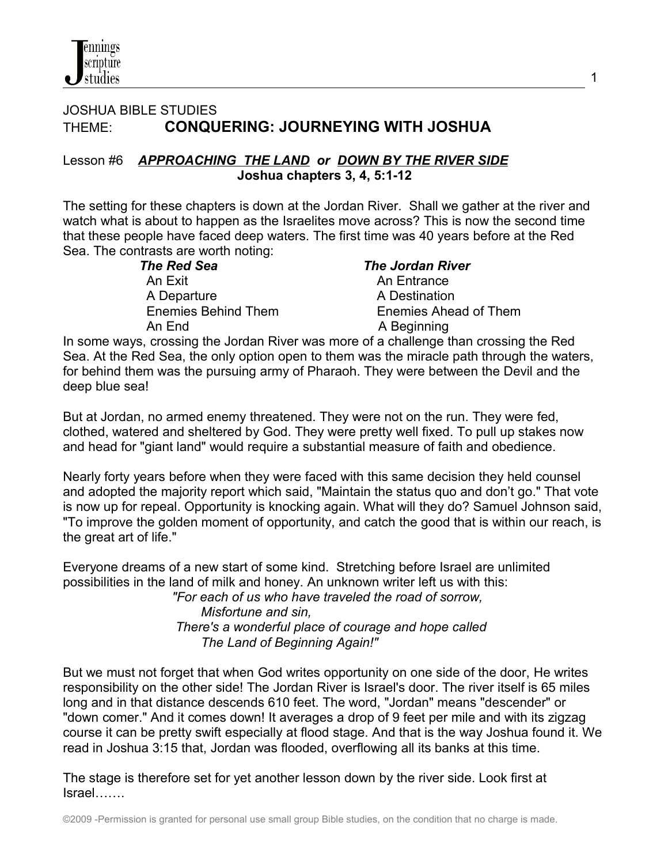## JOSHUA BIBLE STUDIES THEME: **CONQUERING: JOURNEYING WITH JOSHUA**

#### Lesson #6*APPROACHING THE LAND or DOWN BY THE RIVER SIDE*  **Joshua chapters 3, 4, 5:1-12**

The setting for these chapters is down at the Jordan River. Shall we gather at the river and watch what is about to happen as the Israelites move across? This is now the second time that these people have faced deep waters. The first time was 40 years before at the Red Sea. The contrasts are worth noting:

> *The Red Sea The Jordan River* An Exit **An Exit** An Entrance A Departure A Destination An End An End A Beginning

Enemies Behind Them Enemies Ahead of Them

In some ways, crossing the Jordan River was more of a challenge than crossing the Red Sea. At the Red Sea, the only option open to them was the miracle path through the waters, for behind them was the pursuing army of Pharaoh. They were between the Devil and the deep blue sea!

But at Jordan, no armed enemy threatened. They were not on the run. They were fed, clothed, watered and sheltered by God. They were pretty well fixed. To pull up stakes now and head for "giant land" would require a substantial measure of faith and obedience.

Nearly forty years before when they were faced with this same decision they held counsel and adopted the majority report which said, "Maintain the status quo and don't go." That vote is now up for repeal. Opportunity is knocking again. What will they do? Samuel Johnson said, "To improve the golden moment of opportunity, and catch the good that is within our reach, is the great art of life."

Everyone dreams of a new start of some kind. Stretching before Israel are unlimited possibilities in the land of milk and honey. An unknown writer left us with this:

 *"For each of us who have traveled the road of sorrow, Misfortune and sin, There's a wonderful place of courage and hope called The Land of Beginning Again!"*

But we must not forget that when God writes opportunity on one side of the door, He writes responsibility on the other side! The Jordan River is Israel's door. The river itself is 65 miles long and in that distance descends 610 feet. The word, "Jordan" means "descender" or "down comer." And it comes down! It averages a drop of 9 feet per mile and with its zigzag course it can be pretty swift especially at flood stage. And that is the way Joshua found it. We read in Joshua 3:15 that, Jordan was flooded, overflowing all its banks at this time.

The stage is therefore set for yet another lesson down by the river side. Look first at Israel…….

©2009 -Permission is granted for personal use small group Bible studies, on the condition that no charge is made.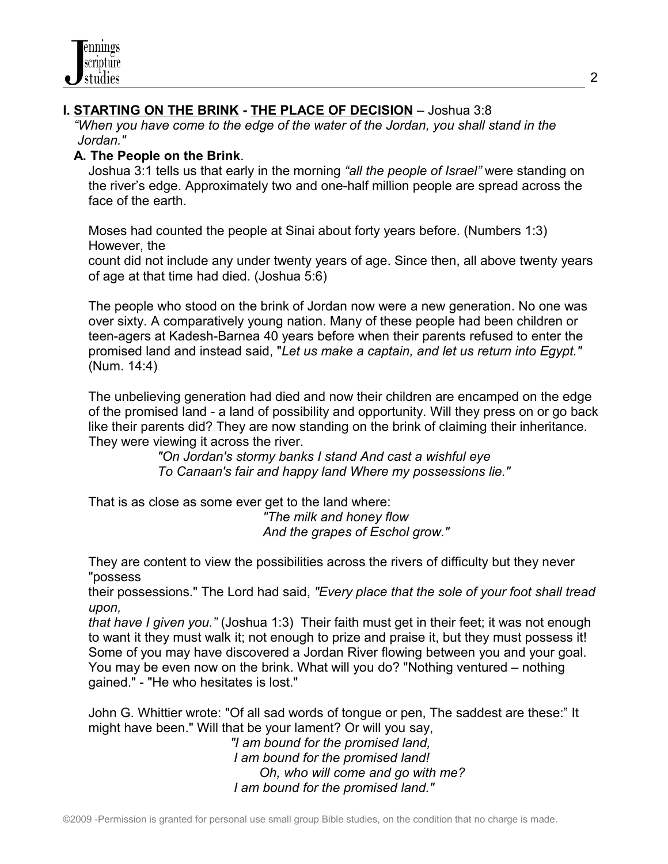## **I. STARTING ON THE BRINK - THE PLACE OF DECISION** – Joshua 3:8

 *"When you have come to the edge of the water of the Jordan, you shall stand in the Jordan."*

#### **A. The People on the Brink**.

Joshua 3:1 tells us that early in the morning *"all the people of Israel"* were standing on the river's edge. Approximately two and one-half million people are spread across the face of the earth.

Moses had counted the people at Sinai about forty years before. (Numbers 1:3) However, the

 count did not include any under twenty years of age. Since then, all above twenty years of age at that time had died. (Joshua 5:6)

 The people who stood on the brink of Jordan now were a new generation. No one was over sixty. A comparatively young nation. Many of these people had been children or teen-agers at Kadesh-Barnea 40 years before when their parents refused to enter the promised land and instead said, "*Let us make a captain, and let us return into Egypt."* (Num. 14:4)

 The unbelieving generation had died and now their children are encamped on the edge of the promised land - a land of possibility and opportunity. Will they press on or go back like their parents did? They are now standing on the brink of claiming their inheritance. They were viewing it across the river.

> *"On Jordan's stormy banks I stand And cast a wishful eye To Canaan's fair and happy land Where my possessions lie."*

 That is as close as some ever get to the land where:  *"The milk and honey flow And the grapes of Eschol grow."*

 They are content to view the possibilities across the rivers of difficulty but they never "possess

 their possessions." The Lord had said, *"Every place that the sole of your foot shall tread upon,*

 *that have I given you."* (Joshua 1:3) Their faith must get in their feet; it was not enough to want it they must walk it; not enough to prize and praise it, but they must possess it! Some of you may have discovered a Jordan River flowing between you and your goal. You may be even now on the brink. What will you do? "Nothing ventured – nothing gained." - "He who hesitates is lost."

John G. Whittier wrote: "Of all sad words of tongue or pen, The saddest are these:" It might have been." Will that be your lament? Or will you say,

 *"I am bound for the promised land, I am bound for the promised land! Oh, who will come and go with me? I am bound for the promised land."*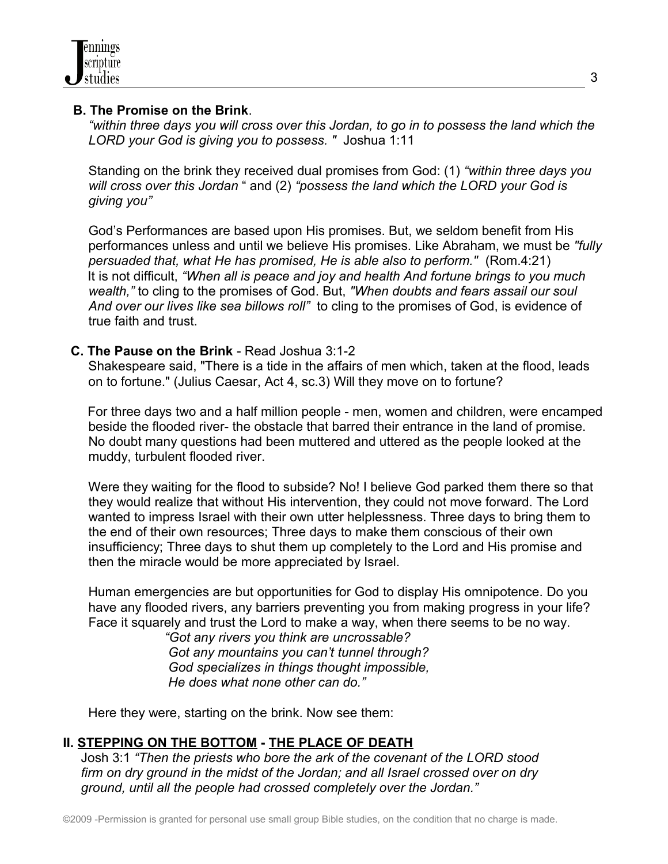

#### **B. The Promise on the Brink**.

 *"within three days you will cross over this Jordan, to go in to possess the land which the LORD your God is giving you to possess. "* Joshua 1:11

Standing on the brink they received dual promises from God: (1) *"within three days you will cross over this Jordan* " and (2) *"possess the land which the LORD your God is giving you"* 

God's Performances are based upon His promises. But, we seldom benefit from His performances unless and until we believe His promises. Like Abraham, we must be *"fully persuaded that, what He has promised, He is able also to perform."* (Rom.4:21) It is not difficult, *"When all is peace and joy and health And fortune brings to you much wealth,"* to cling to the promises of God. But, *"When doubts and fears assail our soul And over our lives like sea billows roll"* to cling to the promises of God, is evidence of true faith and trust.

#### **C. The Pause on the Brink** - Read Joshua 3:1-2

 Shakespeare said, "There is a tide in the affairs of men which, taken at the flood, leads on to fortune." (Julius Caesar, Act 4, sc.3) Will they move on to fortune?

 For three days two and a half million people - men, women and children, were encamped beside the flooded river- the obstacle that barred their entrance in the land of promise. No doubt many questions had been muttered and uttered as the people looked at the muddy, turbulent flooded river.

 Were they waiting for the flood to subside? No! I believe God parked them there so that they would realize that without His intervention, they could not move forward. The Lord wanted to impress Israel with their own utter helplessness. Three days to bring them to the end of their own resources; Three days to make them conscious of their own insufficiency; Three days to shut them up completely to the Lord and His promise and then the miracle would be more appreciated by Israel.

Human emergencies are but opportunities for God to display His omnipotence. Do you have any flooded rivers, any barriers preventing you from making progress in your life? Face it squarely and trust the Lord to make a way, when there seems to be no way.

 *"Got any rivers you think are uncrossable? Got any mountains you can't tunnel through? God specializes in things thought impossible, He does what none other can do."*

Here they were, starting on the brink. Now see them:

### **II. STEPPING ON THE BOTTOM - THE PLACE OF DEATH**

 Josh 3:1 *"Then the priests who bore the ark of the covenant of the LORD stood firm on dry ground in the midst of the Jordan; and all Israel crossed over on dry ground, until all the people had crossed completely over the Jordan."*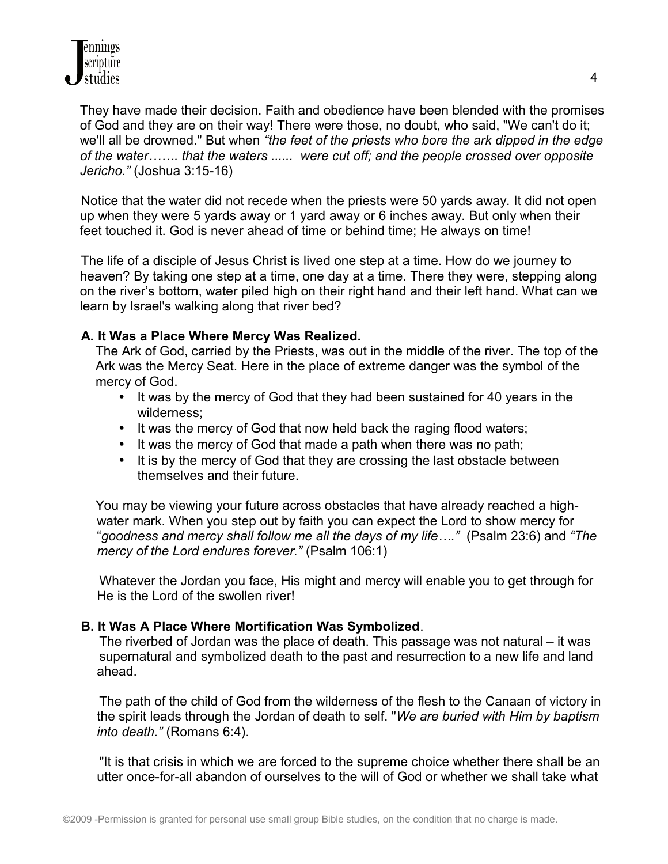They have made their decision. Faith and obedience have been blended with the promises of God and they are on their way! There were those, no doubt, who said, "We can't do it; we'll all be drowned." But when *"the feet of the priests who bore the ark dipped in the edge of the water……. that the waters ...... were cut off; and the people crossed over opposite Jericho."* (Joshua 3:15-16)

 Notice that the water did not recede when the priests were 50 yards away. It did not open up when they were 5 yards away or 1 yard away or 6 inches away. But only when their feet touched it. God is never ahead of time or behind time; He always on time!

 The life of a disciple of Jesus Christ is lived one step at a time. How do we journey to heaven? By taking one step at a time, one day at a time. There they were, stepping along on the river's bottom, water piled high on their right hand and their left hand. What can we learn by Israel's walking along that river bed?

#### **A. It Was a Place Where Mercy Was Realized.**

 The Ark of God, carried by the Priests, was out in the middle of the river. The top of the Ark was the Mercy Seat. Here in the place of extreme danger was the symbol of the mercy of God.

- It was by the mercy of God that they had been sustained for 40 years in the wilderness;
- It was the mercy of God that now held back the raging flood waters;
- It was the mercy of God that made a path when there was no path;
- It is by the mercy of God that they are crossing the last obstacle between themselves and their future.

 You may be viewing your future across obstacles that have already reached a highwater mark. When you step out by faith you can expect the Lord to show mercy for "*goodness and mercy shall follow me all the days of my life…."* (Psalm 23:6) and *"The mercy of the Lord endures forever."* (Psalm 106:1)

 Whatever the Jordan you face, His might and mercy will enable you to get through for He is the Lord of the swollen river!

### **B. It Was A Place Where Mortification Was Symbolized**.

 The riverbed of Jordan was the place of death. This passage was not natural – it was supernatural and symbolized death to the past and resurrection to a new life and land ahead.

 The path of the child of God from the wilderness of the flesh to the Canaan of victory in the spirit leads through the Jordan of death to self. "*We are buried with Him by baptism into death."* (Romans 6:4).

 "It is that crisis in which we are forced to the supreme choice whether there shall be an utter once-for-all abandon of ourselves to the will of God or whether we shall take what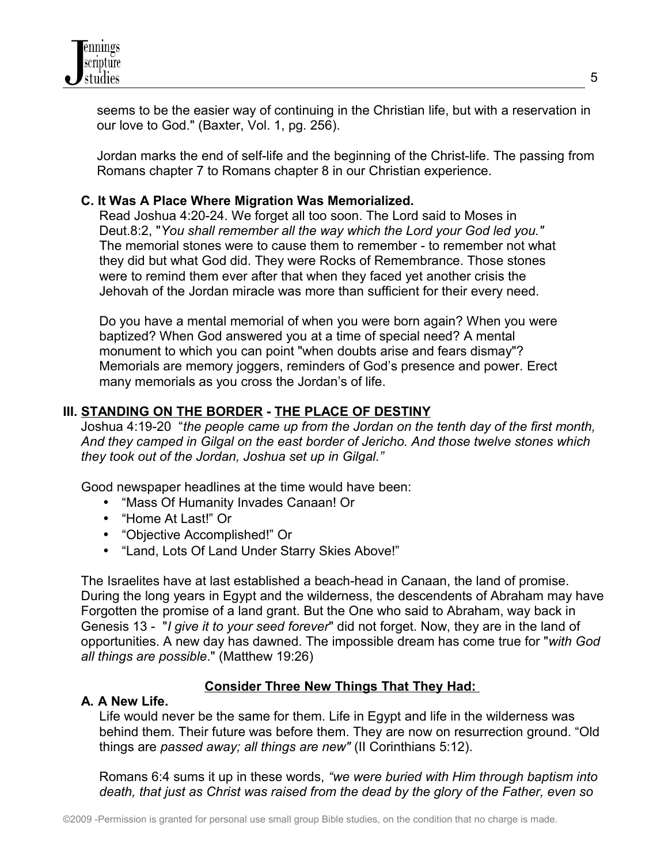seems to be the easier way of continuing in the Christian life, but with a reservation in our love to God." (Baxter, Vol. 1, pg. 256).

Jordan marks the end of self-life and the beginning of the Christ-life. The passing from Romans chapter 7 to Romans chapter 8 in our Christian experience.

## **C. It Was A Place Where Migration Was Memorialized.**

 Read Joshua 4:20-24. We forget all too soon. The Lord said to Moses in Deut.8:2, "*You shall remember all the way which the Lord your God led you."* The memorial stones were to cause them to remember - to remember not what they did but what God did. They were Rocks of Remembrance. Those stones were to remind them ever after that when they faced yet another crisis the Jehovah of the Jordan miracle was more than sufficient for their every need.

 Do you have a mental memorial of when you were born again? When you were baptized? When God answered you at a time of special need? A mental monument to which you can point "when doubts arise and fears dismay"? Memorials are memory joggers, reminders of God's presence and power. Erect many memorials as you cross the Jordan's of life.

## **III. STANDING ON THE BORDER - THE PLACE OF DESTINY**

 Joshua 4:19-20 "*the people came up from the Jordan on the tenth day of the first month, And they camped in Gilgal on the east border of Jericho. And those twelve stones which they took out of the Jordan, Joshua set up in Gilgal."*

Good newspaper headlines at the time would have been:

- "Mass Of Humanity Invades Canaan! Or
- "Home At Last!" Or
- "Objective Accomplished!" Or
- "Land, Lots Of Land Under Starry Skies Above!"

 The Israelites have at last established a beach-head in Canaan, the land of promise. During the long years in Egypt and the wilderness, the descendents of Abraham may have Forgotten the promise of a land grant. But the One who said to Abraham, way back in Genesis 13 - "*I give it to your seed forever*" did not forget. Now, they are in the land of opportunities. A new day has dawned. The impossible dream has come true for "*with God all things are possible*." (Matthew 19:26)

# **Consider Three New Things That They Had:**

### **A. A New Life.**

 Life would never be the same for them. Life in Egypt and life in the wilderness was behind them. Their future was before them. They are now on resurrection ground. "Old things are *passed away; all things are new"* (II Corinthians 5:12).

 Romans 6:4 sums it up in these words, *"we were buried with Him through baptism into death, that just as Christ was raised from the dead by the glory of the Father, even so*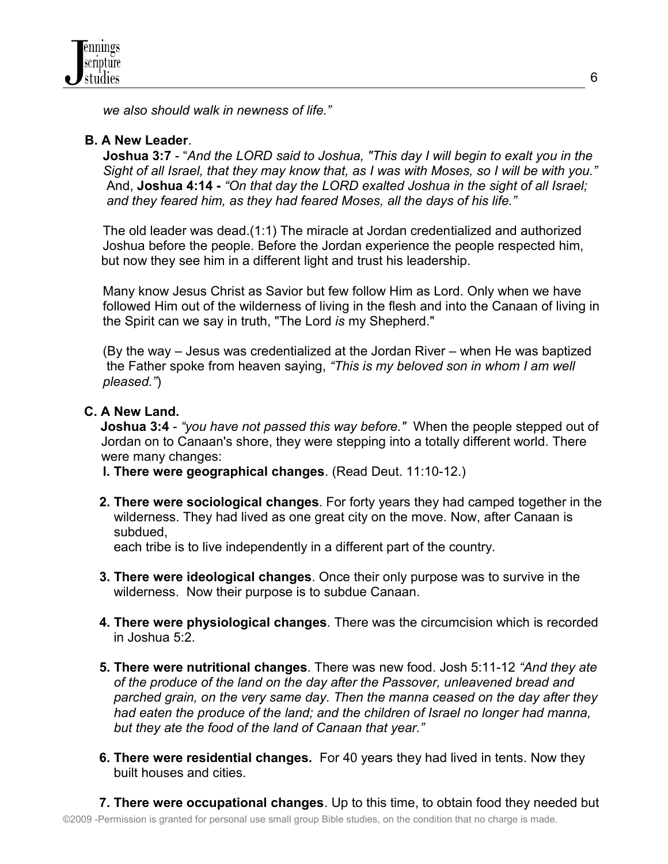*we also should walk in newness of life."* 

## **B. A New Leader**.

 **Joshua 3:7** - "*And the LORD said to Joshua, "This day I will begin to exalt you in the Sight of all Israel, that they may know that, as I was with Moses, so I will be with you."* And, **Joshua 4:14 -** *"On that day the LORD exalted Joshua in the sight of all Israel; and they feared him, as they had feared Moses, all the days of his life."* 

 The old leader was dead.(1:1) The miracle at Jordan credentialized and authorized Joshua before the people. Before the Jordan experience the people respected him, but now they see him in a different light and trust his leadership.

 Many know Jesus Christ as Savior but few follow Him as Lord. Only when we have followed Him out of the wilderness of living in the flesh and into the Canaan of living in the Spirit can we say in truth, "The Lord *is* my Shepherd."

 (By the way – Jesus was credentialized at the Jordan River – when He was baptized the Father spoke from heaven saying, *"This is my beloved son in whom I am well pleased."*)

## **C. A New Land.**

 **Joshua 3:4** - *"you have not passed this way before."* When the people stepped out of Jordan on to Canaan's shore, they were stepping into a totally different world. There were many changes:

- **l. There were geographical changes**. (Read Deut. 11:10-12.)
- **2. There were sociological changes**. For forty years they had camped together in the wilderness. They had lived as one great city on the move. Now, after Canaan is subdued,

each tribe is to live independently in a different part of the country.

- **3. There were ideological changes**. Once their only purpose was to survive in the wilderness. Now their purpose is to subdue Canaan.
- **4. There were physiological changes**. There was the circumcision which is recorded in Joshua 5:2.
- **5. There were nutritional changes**. There was new food. Josh 5:11-12 *"And they ate of the produce of the land on the day after the Passover, unleavened bread and parched grain, on the very same day. Then the manna ceased on the day after they had eaten the produce of the land; and the children of Israel no longer had manna, but they ate the food of the land of Canaan that year."*
- **6. There were residential changes.** For 40 years they had lived in tents. Now they built houses and cities.